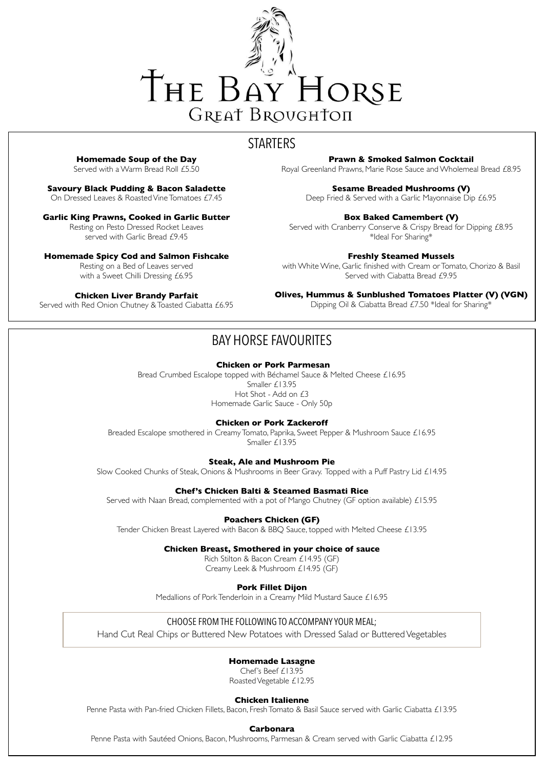

# **STARTERS**

**Homemade Soup of the Day**

Served with a Warm Bread Roll £5.50

**Savoury Black Pudding & Bacon Saladette**

On Dressed Leaves & Roasted Vine Tomatoes £7.45

### **Garlic King Prawns, Cooked in Garlic Butter**

Resting on Pesto Dressed Rocket Leaves served with Garlic Bread £9.45

### **Homemade Spicy Cod and Salmon Fishcake**

Resting on a Bed of Leaves served with a Sweet Chilli Dressing £6.95

### **Chicken Liver Brandy Parfait**

Served with Red Onion Chutney & Toasted Ciabatta £6.95

# BAY HORSE FAVOURITES

### **Chicken or Pork Parmesan**

Bread Crumbed Escalope topped with Béchamel Sauce & Melted Cheese £16.95 Smaller £13.95 Hot Shot - Add on £3 Homemade Garlic Sauce - Only 50p

### **Chicken or Pork Zackeroff**

Breaded Escalope smothered in Creamy Tomato, Paprika, Sweet Pepper & Mushroom Sauce £16.95 Smaller £13.95

### **Steak, Ale and Mushroom Pie**

Slow Cooked Chunks of Steak, Onions & Mushrooms in Beer Gravy. Topped with a Puff Pastry Lid £14.95

### **Chef's Chicken Balti & Steamed Basmati Rice**

Served with Naan Bread, complemented with a pot of Mango Chutney (GF option available) £15.95

### **Poachers Chicken (GF)**

Tender Chicken Breast Layered with Bacon & BBQ Sauce, topped with Melted Cheese £13.95

### **Chicken Breast, Smothered in your choice of sauce**

Rich Stilton & Bacon Cream £14.95 (GF) Creamy Leek & Mushroom £14.95 (GF)

#### **Pork Fillet Dijon**

Medallions of Pork Tenderloin in a Creamy Mild Mustard Sauce £16.95

### **Prawn & Smoked Salmon Cocktail**

Royal Greenland Prawns, Marie Rose Sauce and Wholemeal Bread £8.95

**Sesame Breaded Mushrooms (V)**

Deep Fried & Served with a Garlic Mayonnaise Dip £6.95

### **Box Baked Camembert (V)**

Served with Cranberry Conserve & Crispy Bread for Dipping £8.95 \*Ideal For Sharing\*

### **Freshly Steamed Mussels**

with White Wine, Garlic finished with Cream or Tomato, Chorizo & Basil Served with Ciabatta Bread £9.95

### **Olives, Hummus & Sunblushed Tomatoes Platter (V) (VGN)**

Dipping Oil & Ciabatta Bread £7.50 \*Ideal for Sharing\*

### CHOOSE FROM THE FOLLOWING TO ACCOMPANY YOUR MEAL;

Hand Cut Real Chips or Buttered New Potatoes with Dressed Salad or Buttered Vegetables

### **Homemade Lasagne**

Chef's Beef £13.95

Roasted Vegetable £12.95

### **Chicken Italienne**

Penne Pasta with Pan-fried Chicken Fillets, Bacon, Fresh Tomato & Basil Sauce served with Garlic Ciabatta £13.95

### **Carbonara**

Penne Pasta with Sautéed Onions, Bacon, Mushrooms, Parmesan & Cream served with Garlic Ciabatta £12.95